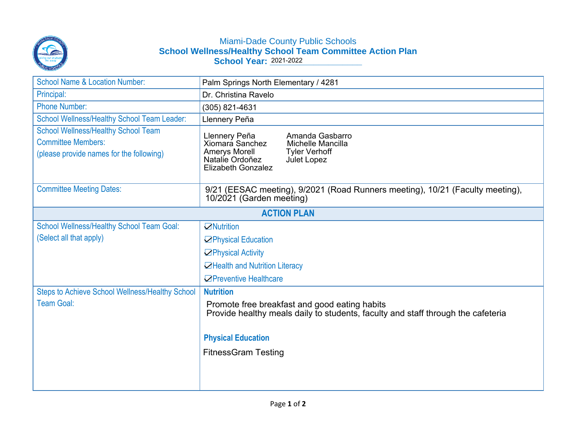

## Miami-Dade County Public Schools **School Wellness/Healthy School Team Committee Action Plan School Year: \_\_\_\_\_\_\_\_\_\_\_\_\_\_\_\_\_\_\_** 2021-2022

| <b>School Name &amp; Location Number:</b>                                                                           | Palm Springs North Elementary / 4281                                                                                                                                             |
|---------------------------------------------------------------------------------------------------------------------|----------------------------------------------------------------------------------------------------------------------------------------------------------------------------------|
| Principal:                                                                                                          | Dr. Christina Ravelo                                                                                                                                                             |
| <b>Phone Number:</b>                                                                                                | (305) 821-4631                                                                                                                                                                   |
| School Wellness/Healthy School Team Leader:                                                                         | Llennery Peña                                                                                                                                                                    |
| <b>School Wellness/Healthy School Team</b><br><b>Committee Members:</b><br>(please provide names for the following) | Llennery Peña<br>Amanda Gasbarro<br>Xiomara Sanchez<br>Michelle Mancilla<br><b>Amerys Morell</b><br><b>Tyler Verhoff</b><br>Natalie Ordoñez<br>Julet Lopez<br>Elizabeth Gonzalez |
| <b>Committee Meeting Dates:</b>                                                                                     | 9/21 (EESAC meeting), 9/2021 (Road Runners meeting), 10/21 (Faculty meeting),<br>10/2021 (Garden meeting)                                                                        |
| <b>ACTION PLAN</b>                                                                                                  |                                                                                                                                                                                  |
| <b>School Wellness/Healthy School Team Goal:</b>                                                                    | $\Box$ Nutrition                                                                                                                                                                 |
| (Select all that apply)                                                                                             | <b>⊡Physical Education</b>                                                                                                                                                       |
|                                                                                                                     | <b>⊡Physical Activity</b>                                                                                                                                                        |
|                                                                                                                     | <b>○Health and Nutrition Literacy</b>                                                                                                                                            |
|                                                                                                                     | <b>○</b> Preventive Healthcare                                                                                                                                                   |
| <b>Steps to Achieve School Wellness/Healthy School</b>                                                              | <b>Nutrition</b>                                                                                                                                                                 |
| Team Goal:                                                                                                          | Promote free breakfast and good eating habits<br>Provide healthy meals daily to students, faculty and staff through the cafeteria                                                |
|                                                                                                                     | <b>Physical Education</b>                                                                                                                                                        |
|                                                                                                                     | <b>FitnessGram Testing</b>                                                                                                                                                       |
|                                                                                                                     |                                                                                                                                                                                  |